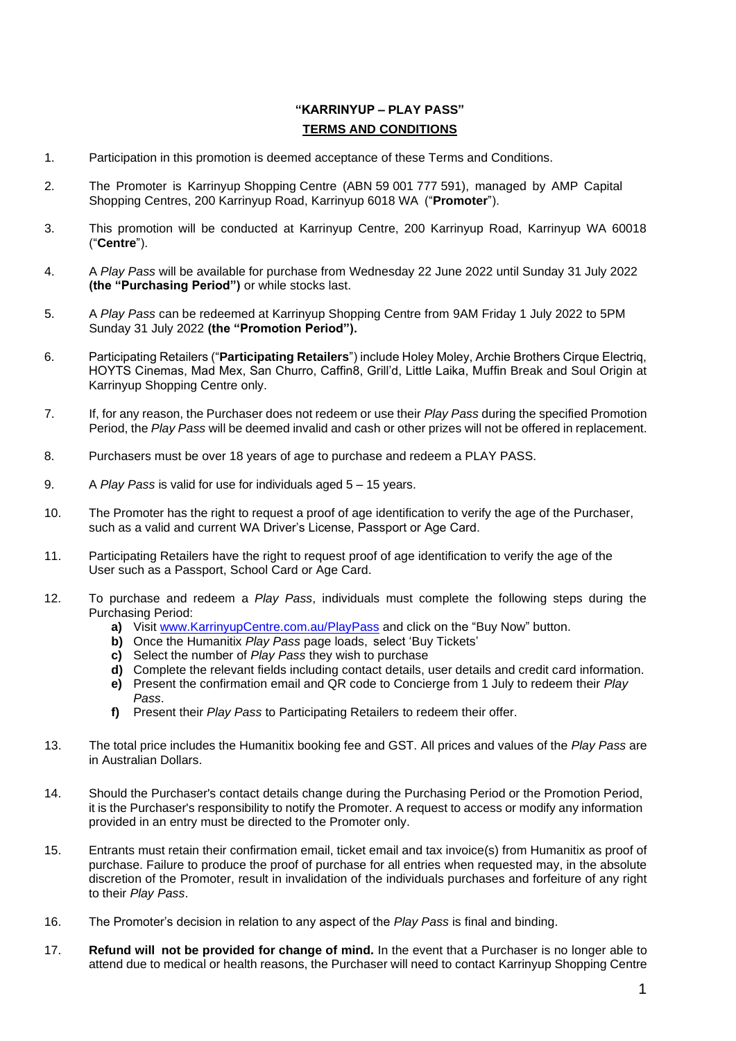# **"KARRINYUP – PLAY PASS" TERMS AND CONDITIONS**

- 1. Participation in this promotion is deemed acceptance of these Terms and Conditions.
- 2. The Promoter is Karrinyup Shopping Centre (ABN 59 001 777 591), managed by AMP Capital Shopping Centres, 200 Karrinyup Road, Karrinyup 6018 WA ("**Promoter**").
- 3. This promotion will be conducted at Karrinyup Centre, 200 Karrinyup Road, Karrinyup WA 60018 ("**Centre**").
- 4. A *Play Pass* will be available for purchase from Wednesday 22 June 2022 until Sunday 31 July 2022 **(the "Purchasing Period")** or while stocks last.
- 5. A *Play Pass* can be redeemed at Karrinyup Shopping Centre from 9AM Friday 1 July 2022 to 5PM Sunday 31 July 2022 **(the "Promotion Period").**
- 6. Participating Retailers ("**Participating Retailers**") include Holey Moley, Archie Brothers Cirque Electriq, HOYTS Cinemas, Mad Mex, San Churro, Caffin8, Grill'd, Little Laika, Muffin Break and Soul Origin at Karrinyup Shopping Centre only.
- 7. If, for any reason, the Purchaser does not redeem or use their *Play Pass* during the specified Promotion Period, the *Play Pass* will be deemed invalid and cash or other prizes will not be offered in replacement.
- 8. Purchasers must be over 18 years of age to purchase and redeem a PLAY PASS.
- 9. A *Play Pass* is valid for use for individuals aged 5 15 years.
- 10. The Promoter has the right to request a proof of age identification to verify the age of the Purchaser, such as a valid and current WA Driver's License, Passport or Age Card.
- 11. Participating Retailers have the right to request proof of age identification to verify the age of the User such as a Passport, School Card or Age Card.
- 12. To purchase and redeem a *Play Pass*, individuals must complete the following steps during the Purchasing Period:
	- **a)** Visit [www.KarrinyupCentre.com.au/PlayP](http://www.karrinyupcentre.com.au/Play)ass and click on the "Buy Now" button.
	- **b)** Once the Humanitix *Play Pass* page loads, select 'Buy Tickets'
	- **c)** Select the number of *Play Pass* they wish to purchase
	- **d)** Complete the relevant fields including contact details, user details and credit card information.
	- **e)** Present the confirmation email and QR code to Concierge from 1 July to redeem their *Play Pass*.
	- **f)** Present their *Play Pass* to Participating Retailers to redeem their offer.
- 13. The total price includes the Humanitix booking fee and GST. All prices and values of the *Play Pass* are in Australian Dollars.
- 14. Should the Purchaser's contact details change during the Purchasing Period or the Promotion Period, it is the Purchaser's responsibility to notify the Promoter. A request to access or modify any information provided in an entry must be directed to the Promoter only.
- 15. Entrants must retain their confirmation email, ticket email and tax invoice(s) from Humanitix as proof of purchase. Failure to produce the proof of purchase for all entries when requested may, in the absolute discretion of the Promoter, result in invalidation of the individuals purchases and forfeiture of any right to their *Play Pass*.
- 16. The Promoter's decision in relation to any aspect of the *Play Pass* is final and binding.
- 17. **Refund will not be provided for change of mind.** In the event that a Purchaser is no longer able to attend due to medical or health reasons, the Purchaser will need to contact Karrinyup Shopping Centre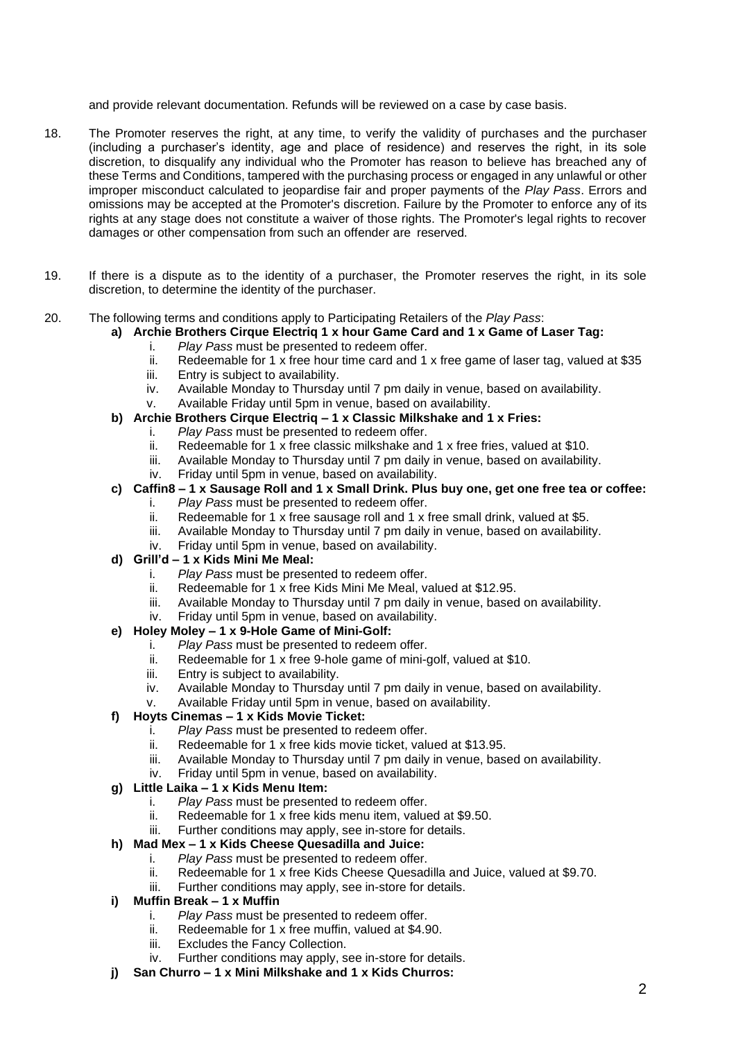and provide relevant documentation. Refunds will be reviewed on a case by case basis.

- 18. The Promoter reserves the right, at any time, to verify the validity of purchases and the purchaser (including a purchaser's identity, age and place of residence) and reserves the right, in its sole discretion, to disqualify any individual who the Promoter has reason to believe has breached any of these Terms and Conditions, tampered with the purchasing process or engaged in any unlawful or other improper misconduct calculated to jeopardise fair and proper payments of the *Play Pass*. Errors and omissions may be accepted at the Promoter's discretion. Failure by the Promoter to enforce any of its rights at any stage does not constitute a waiver of those rights. The Promoter's legal rights to recover damages or other compensation from such an offender are reserved.
- 19. If there is a dispute as to the identity of a purchaser, the Promoter reserves the right, in its sole discretion, to determine the identity of the purchaser.
- 20. The following terms and conditions apply to Participating Retailers of the *Play Pass*:

# **a) Archie Brothers Cirque Electriq 1 x hour Game Card and 1 x Game of Laser Tag:**

- i. *Play Pass* must be presented to redeem offer.
- ii. Redeemable for 1 x free hour time card and 1 x free game of laser tag, valued at  $$35$
- iii. Entry is subject to availability.<br>iv Available Monday to Thursday
- Available Monday to Thursday until 7 pm daily in venue, based on availability.
- v. Available Friday until 5pm in venue, based on availability.

### **b) Archie Brothers Cirque Electriq – 1 x Classic Milkshake and 1 x Fries:**

- i. *Play Pass* must be presented to redeem offer.
- ii. Redeemable for 1 x free classic milkshake and 1 x free fries, valued at \$10.
- iii. Available Monday to Thursday until 7 pm daily in venue, based on availability.

#### iv. Friday until 5pm in venue, based on availability.

#### **c) Caffin8 – 1 x Sausage Roll and 1 x Small Drink. Plus buy one, get one free tea or coffee:** i. *Play Pass* must be presented to redeem offer.

- ii. Redeemable for 1 x free sausage roll and 1 x free small drink, valued at \$5.
- iii. Available Monday to Thursday until 7 pm daily in venue, based on availability.
- iv. Friday until 5pm in venue, based on availability.

## **d) Grill'd – 1 x Kids Mini Me Meal:**

- i. *Play Pass* must be presented to redeem offer.<br>ii. Redeemable for 1 x free Kids Mini Me Meal, va
- Redeemable for 1 x free Kids Mini Me Meal, valued at \$12.95.
- iii. Available Monday to Thursday until 7 pm daily in venue, based on availability.
- iv. Friday until 5pm in venue, based on availability.

### **e) Holey Moley – 1 x 9-Hole Game of Mini-Golf:**

- i. *Play Pass* must be presented to redeem offer.
- ii. Redeemable for 1 x free 9-hole game of mini-golf, valued at \$10.
- iii. Entry is subject to availability.
- iv. Available Monday to Thursday until 7 pm daily in venue, based on availability.
- v. Available Friday until 5pm in venue, based on availability.

### **f) Hoyts Cinemas – 1 x Kids Movie Ticket:**

- i. *Play Pass* must be presented to redeem offer.
- ii. Redeemable for 1 x free kids movie ticket, valued at \$13.95.
- iii. Available Monday to Thursday until 7 pm daily in venue, based on availability.
- iv. Friday until 5pm in venue, based on availability.

### **g) Little Laika – 1 x Kids Menu Item:**

- i. *Play Pass* must be presented to redeem offer.
- ii. Redeemable for 1 x free kids menu item, valued at \$9.50.
- iii. Further conditions may apply, see in-store for details.

# **h) Mad Mex – 1 x Kids Cheese Quesadilla and Juice:**

- i. *Play Pass* must be presented to redeem offer.
	- ii. Redeemable for 1 x free Kids Cheese Quesadilla and Juice, valued at \$9.70.<br>iii. Further conditions may apply, see in-store for details.
	- Further conditions may apply, see in-store for details.

# **i) Muffin Break – 1 x Muffin**

- i. *Play Pass* must be presented to redeem offer.
- ii. Redeemable for 1 x free muffin, valued at \$4.90.<br>iii. Excludes the Fancy Collection.
- Excludes the Fancy Collection.
- iv. Further conditions may apply, see in-store for details.
- **j) San Churro – 1 x Mini Milkshake and 1 x Kids Churros:**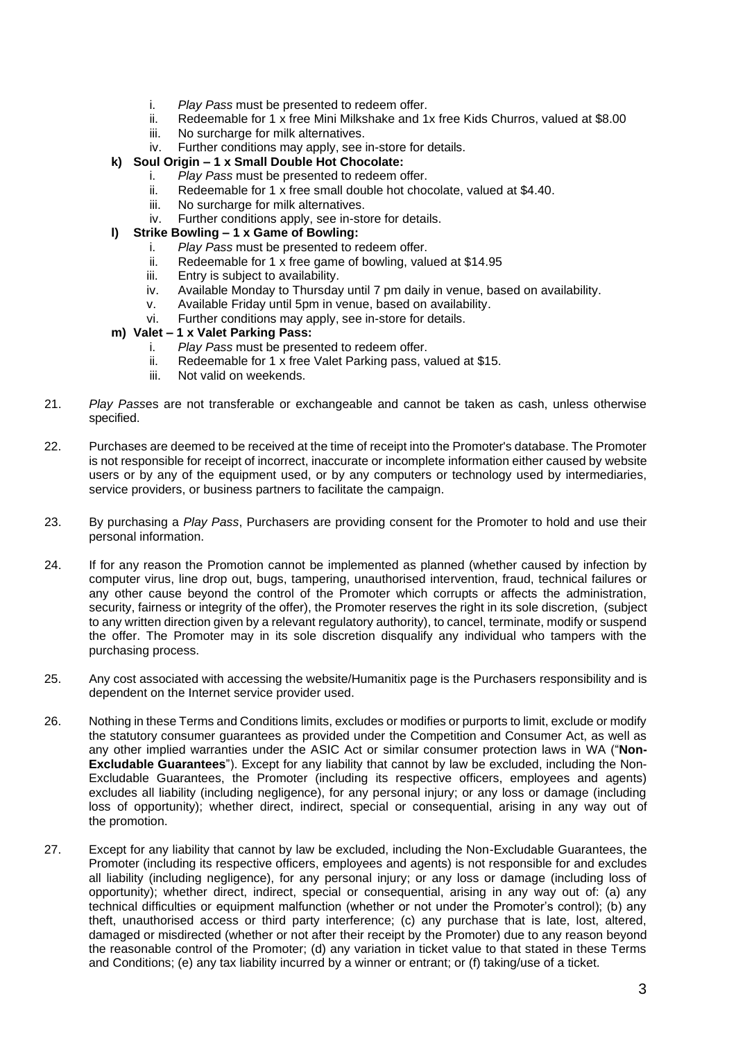- i. *Play Pass* must be presented to redeem offer.
- ii. Redeemable for 1 x free Mini Milkshake and 1x free Kids Churros, valued at \$8.00 iii. No surcharge for milk alternatives
- No surcharge for milk alternatives.
- iv. Further conditions may apply, see in-store for details.
- **k) Soul Origin – 1 x Small Double Hot Chocolate:**
	- i. *Play Pass* must be presented to redeem offer.
	- ii. Redeemable for 1 x free small double hot chocolate, valued at \$4.40.
	- iii. No surcharge for milk alternatives.
	- iv. Further conditions apply, see in-store for details.

#### **l) Strike Bowling – 1 x Game of Bowling:**

- i. *Play Pass* must be presented to redeem offer.
- ii. Redeemable for 1 x free game of bowling, valued at \$14.95<br>iii. Entry is subiect to availability.
- Entry is subject to availability.
- iv. Available Monday to Thursday until 7 pm daily in venue, based on availability.
- v. Available Friday until 5pm in venue, based on availability.
- vi. Further conditions may apply, see in-store for details.

#### **m) Valet – 1 x Valet Parking Pass:**

- i. *Play Pass* must be presented to redeem offer.
- ii. Redeemable for 1 x free Valet Parking pass, valued at \$15.
- iii. Not valid on weekends.
- 21. *Play Pass*es are not transferable or exchangeable and cannot be taken as cash, unless otherwise specified.
- 22. Purchases are deemed to be received at the time of receipt into the Promoter's database. The Promoter is not responsible for receipt of incorrect, inaccurate or incomplete information either caused by website users or by any of the equipment used, or by any computers or technology used by intermediaries, service providers, or business partners to facilitate the campaign.
- 23. By purchasing a *Play Pass*, Purchasers are providing consent for the Promoter to hold and use their personal information.
- 24. If for any reason the Promotion cannot be implemented as planned (whether caused by infection by computer virus, line drop out, bugs, tampering, unauthorised intervention, fraud, technical failures or any other cause beyond the control of the Promoter which corrupts or affects the administration, security, fairness or integrity of the offer), the Promoter reserves the right in its sole discretion, (subject to any written direction given by a relevant regulatory authority), to cancel, terminate, modify or suspend the offer. The Promoter may in its sole discretion disqualify any individual who tampers with the purchasing process.
- 25. Any cost associated with accessing the website/Humanitix page is the Purchasers responsibility and is dependent on the Internet service provider used.
- 26. Nothing in these Terms and Conditions limits, excludes or modifies or purports to limit, exclude or modify the statutory consumer guarantees as provided under the Competition and Consumer Act, as well as any other implied warranties under the ASIC Act or similar consumer protection laws in WA ("**Non-Excludable Guarantees**"). Except for any liability that cannot by law be excluded, including the Non-Excludable Guarantees, the Promoter (including its respective officers, employees and agents) excludes all liability (including negligence), for any personal injury; or any loss or damage (including loss of opportunity); whether direct, indirect, special or consequential, arising in any way out of the promotion.
- 27. Except for any liability that cannot by law be excluded, including the Non-Excludable Guarantees, the Promoter (including its respective officers, employees and agents) is not responsible for and excludes all liability (including negligence), for any personal injury; or any loss or damage (including loss of opportunity); whether direct, indirect, special or consequential, arising in any way out of: (a) any technical difficulties or equipment malfunction (whether or not under the Promoter's control); (b) any theft, unauthorised access or third party interference; (c) any purchase that is late, lost, altered, damaged or misdirected (whether or not after their receipt by the Promoter) due to any reason beyond the reasonable control of the Promoter; (d) any variation in ticket value to that stated in these Terms and Conditions; (e) any tax liability incurred by a winner or entrant; or (f) taking/use of a ticket.